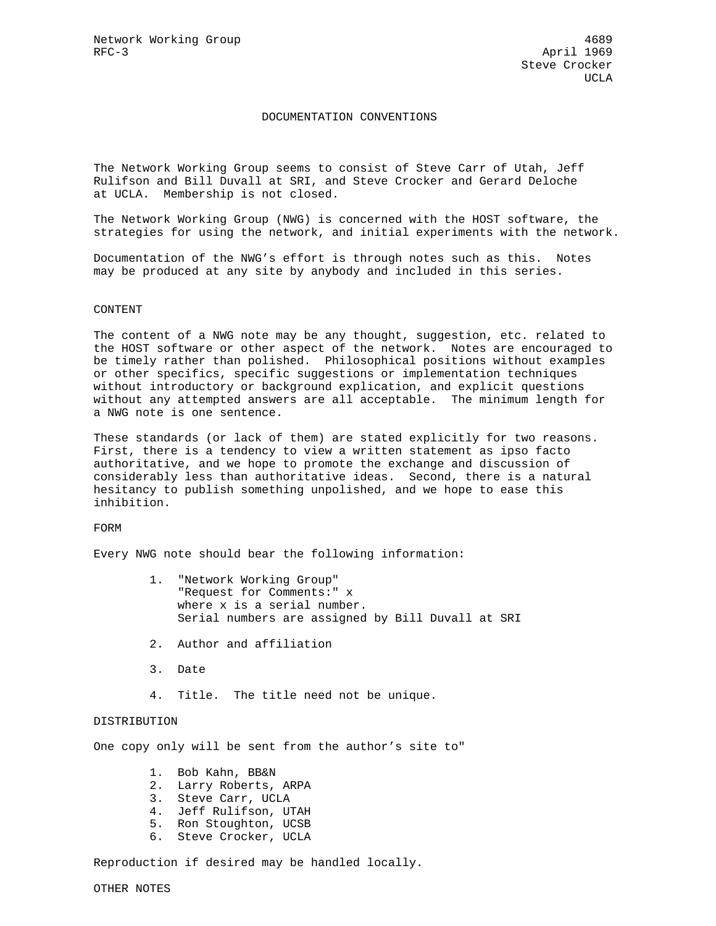## DOCUMENTATION CONVENTIONS

The Network Working Group seems to consist of Steve Carr of Utah, Jeff Rulifson and Bill Duvall at SRI, and Steve Crocker and Gerard Deloche at UCLA. Membership is not closed.

The Network Working Group (NWG) is concerned with the HOST software, the strategies for using the network, and initial experiments with the network.

Documentation of the NWG's effort is through notes such as this. Notes may be produced at any site by anybody and included in this series.

## CONTENT

The content of a NWG note may be any thought, suggestion, etc. related to the HOST software or other aspect of the network. Notes are encouraged to be timely rather than polished. Philosophical positions without examples or other specifics, specific suggestions or implementation techniques without introductory or background explication, and explicit questions without any attempted answers are all acceptable. The minimum length for a NWG note is one sentence.

These standards (or lack of them) are stated explicitly for two reasons. First, there is a tendency to view a written statement as ipso facto authoritative, and we hope to promote the exchange and discussion of considerably less than authoritative ideas. Second, there is a natural hesitancy to publish something unpolished, and we hope to ease this inhibition.

## FORM

Every NWG note should bear the following information:

- 1. "Network Working Group" "Request for Comments:" x where x is a serial number. Serial numbers are assigned by Bill Duvall at SRI
- 2. Author and affiliation
- 3. Date
- 4. Title. The title need not be unique.

## DISTRIBUTION

One copy only will be sent from the author's site to"

- 1. Bob Kahn, BB&N
- 2. Larry Roberts, ARPA
- 3. Steve Carr, UCLA
- 4. Jeff Rulifson, UTAH
- 5. Ron Stoughton, UCSB
- 6. Steve Crocker, UCLA

Reproduction if desired may be handled locally.

OTHER NOTES